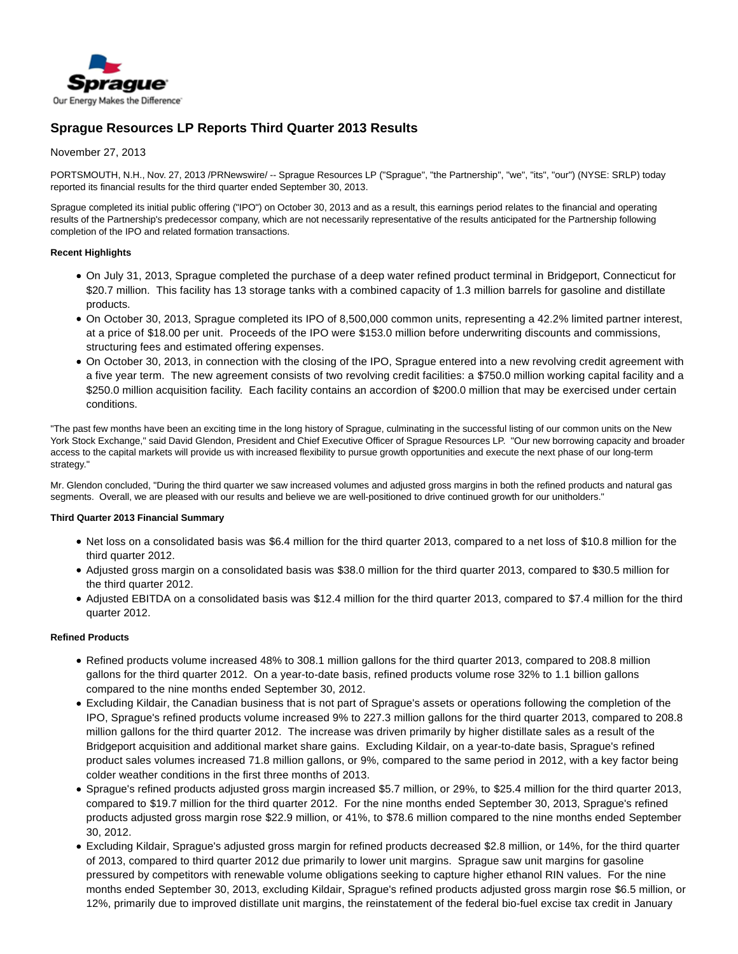

# **Sprague Resources LP Reports Third Quarter 2013 Results**

# November 27, 2013

PORTSMOUTH, N.H., Nov. 27, 2013 /PRNewswire/ -- Sprague Resources LP ("Sprague", "the Partnership", "we", "its", "our") (NYSE: SRLP) today reported its financial results for the third quarter ended September 30, 2013.

Sprague completed its initial public offering ("IPO") on October 30, 2013 and as a result, this earnings period relates to the financial and operating results of the Partnership's predecessor company, which are not necessarily representative of the results anticipated for the Partnership following completion of the IPO and related formation transactions.

### **Recent Highlights**

- On July 31, 2013, Sprague completed the purchase of a deep water refined product terminal in Bridgeport, Connecticut for \$20.7 million. This facility has 13 storage tanks with a combined capacity of 1.3 million barrels for gasoline and distillate products.
- On October 30, 2013, Sprague completed its IPO of 8,500,000 common units, representing a 42.2% limited partner interest, at a price of \$18.00 per unit. Proceeds of the IPO were \$153.0 million before underwriting discounts and commissions, structuring fees and estimated offering expenses.
- On October 30, 2013, in connection with the closing of the IPO, Sprague entered into a new revolving credit agreement with a five year term. The new agreement consists of two revolving credit facilities: a \$750.0 million working capital facility and a \$250.0 million acquisition facility. Each facility contains an accordion of \$200.0 million that may be exercised under certain conditions.

"The past few months have been an exciting time in the long history of Sprague, culminating in the successful listing of our common units on the New York Stock Exchange," said David Glendon, President and Chief Executive Officer of Sprague Resources LP. "Our new borrowing capacity and broader access to the capital markets will provide us with increased flexibility to pursue growth opportunities and execute the next phase of our long-term strategy."

Mr. Glendon concluded, "During the third quarter we saw increased volumes and adjusted gross margins in both the refined products and natural gas segments. Overall, we are pleased with our results and believe we are well-positioned to drive continued growth for our unitholders."

### **Third Quarter 2013 Financial Summary**

- Net loss on a consolidated basis was \$6.4 million for the third quarter 2013, compared to a net loss of \$10.8 million for the third quarter 2012.
- Adjusted gross margin on a consolidated basis was \$38.0 million for the third quarter 2013, compared to \$30.5 million for the third quarter 2012.
- Adjusted EBITDA on a consolidated basis was \$12.4 million for the third quarter 2013, compared to \$7.4 million for the third quarter 2012.

## **Refined Products**

- Refined products volume increased 48% to 308.1 million gallons for the third quarter 2013, compared to 208.8 million gallons for the third quarter 2012. On a year-to-date basis, refined products volume rose 32% to 1.1 billion gallons compared to the nine months ended September 30, 2012.
- Excluding Kildair, the Canadian business that is not part of Sprague's assets or operations following the completion of the IPO, Sprague's refined products volume increased 9% to 227.3 million gallons for the third quarter 2013, compared to 208.8 million gallons for the third quarter 2012. The increase was driven primarily by higher distillate sales as a result of the Bridgeport acquisition and additional market share gains. Excluding Kildair, on a year-to-date basis, Sprague's refined product sales volumes increased 71.8 million gallons, or 9%, compared to the same period in 2012, with a key factor being colder weather conditions in the first three months of 2013.
- Sprague's refined products adjusted gross margin increased \$5.7 million, or 29%, to \$25.4 million for the third quarter 2013, compared to \$19.7 million for the third quarter 2012. For the nine months ended September 30, 2013, Sprague's refined products adjusted gross margin rose \$22.9 million, or 41%, to \$78.6 million compared to the nine months ended September 30, 2012.
- Excluding Kildair, Sprague's adjusted gross margin for refined products decreased \$2.8 million, or 14%, for the third quarter of 2013, compared to third quarter 2012 due primarily to lower unit margins. Sprague saw unit margins for gasoline pressured by competitors with renewable volume obligations seeking to capture higher ethanol RIN values. For the nine months ended September 30, 2013, excluding Kildair, Sprague's refined products adjusted gross margin rose \$6.5 million, or 12%, primarily due to improved distillate unit margins, the reinstatement of the federal bio-fuel excise tax credit in January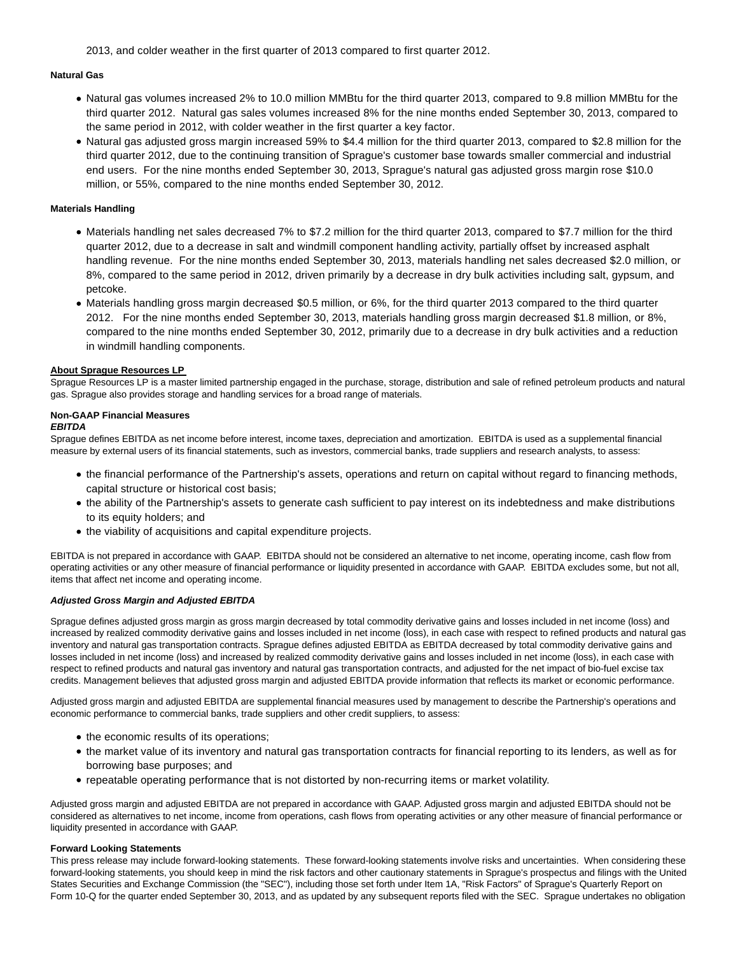2013, and colder weather in the first quarter of 2013 compared to first quarter 2012.

### **Natural Gas**

- Natural gas volumes increased 2% to 10.0 million MMBtu for the third quarter 2013, compared to 9.8 million MMBtu for the third quarter 2012. Natural gas sales volumes increased 8% for the nine months ended September 30, 2013, compared to the same period in 2012, with colder weather in the first quarter a key factor.
- Natural gas adjusted gross margin increased 59% to \$4.4 million for the third quarter 2013, compared to \$2.8 million for the third quarter 2012, due to the continuing transition of Sprague's customer base towards smaller commercial and industrial end users. For the nine months ended September 30, 2013, Sprague's natural gas adjusted gross margin rose \$10.0 million, or 55%, compared to the nine months ended September 30, 2012.

#### **Materials Handling**

- Materials handling net sales decreased 7% to \$7.2 million for the third quarter 2013, compared to \$7.7 million for the third quarter 2012, due to a decrease in salt and windmill component handling activity, partially offset by increased asphalt handling revenue. For the nine months ended September 30, 2013, materials handling net sales decreased \$2.0 million, or 8%, compared to the same period in 2012, driven primarily by a decrease in dry bulk activities including salt, gypsum, and petcoke.
- Materials handling gross margin decreased \$0.5 million, or 6%, for the third quarter 2013 compared to the third quarter 2012. For the nine months ended September 30, 2013, materials handling gross margin decreased \$1.8 million, or 8%, compared to the nine months ended September 30, 2012, primarily due to a decrease in dry bulk activities and a reduction in windmill handling components.

### **About Sprague Resources LP**

Sprague Resources LP is a master limited partnership engaged in the purchase, storage, distribution and sale of refined petroleum products and natural gas. Sprague also provides storage and handling services for a broad range of materials.

#### **Non-GAAP Financial Measures EBITDA**

Sprague defines EBITDA as net income before interest, income taxes, depreciation and amortization. EBITDA is used as a supplemental financial measure by external users of its financial statements, such as investors, commercial banks, trade suppliers and research analysts, to assess:

- the financial performance of the Partnership's assets, operations and return on capital without regard to financing methods, capital structure or historical cost basis;
- the ability of the Partnership's assets to generate cash sufficient to pay interest on its indebtedness and make distributions to its equity holders; and
- the viability of acquisitions and capital expenditure projects.

EBITDA is not prepared in accordance with GAAP. EBITDA should not be considered an alternative to net income, operating income, cash flow from operating activities or any other measure of financial performance or liquidity presented in accordance with GAAP. EBITDA excludes some, but not all, items that affect net income and operating income.

### **Adjusted Gross Margin and Adjusted EBITDA**

Sprague defines adjusted gross margin as gross margin decreased by total commodity derivative gains and losses included in net income (loss) and increased by realized commodity derivative gains and losses included in net income (loss), in each case with respect to refined products and natural gas inventory and natural gas transportation contracts. Sprague defines adjusted EBITDA as EBITDA decreased by total commodity derivative gains and losses included in net income (loss) and increased by realized commodity derivative gains and losses included in net income (loss), in each case with respect to refined products and natural gas inventory and natural gas transportation contracts, and adjusted for the net impact of bio-fuel excise tax credits. Management believes that adjusted gross margin and adjusted EBITDA provide information that reflects its market or economic performance.

Adjusted gross margin and adjusted EBITDA are supplemental financial measures used by management to describe the Partnership's operations and economic performance to commercial banks, trade suppliers and other credit suppliers, to assess:

- the economic results of its operations;
- the market value of its inventory and natural gas transportation contracts for financial reporting to its lenders, as well as for borrowing base purposes; and
- repeatable operating performance that is not distorted by non-recurring items or market volatility.

Adjusted gross margin and adjusted EBITDA are not prepared in accordance with GAAP. Adjusted gross margin and adjusted EBITDA should not be considered as alternatives to net income, income from operations, cash flows from operating activities or any other measure of financial performance or liquidity presented in accordance with GAAP.

#### **Forward Looking Statements**

This press release may include forward-looking statements. These forward-looking statements involve risks and uncertainties. When considering these forward-looking statements, you should keep in mind the risk factors and other cautionary statements in Sprague's prospectus and filings with the United States Securities and Exchange Commission (the "SEC"), including those set forth under Item 1A, "Risk Factors" of Sprague's Quarterly Report on Form 10-Q for the quarter ended September 30, 2013, and as updated by any subsequent reports filed with the SEC. Sprague undertakes no obligation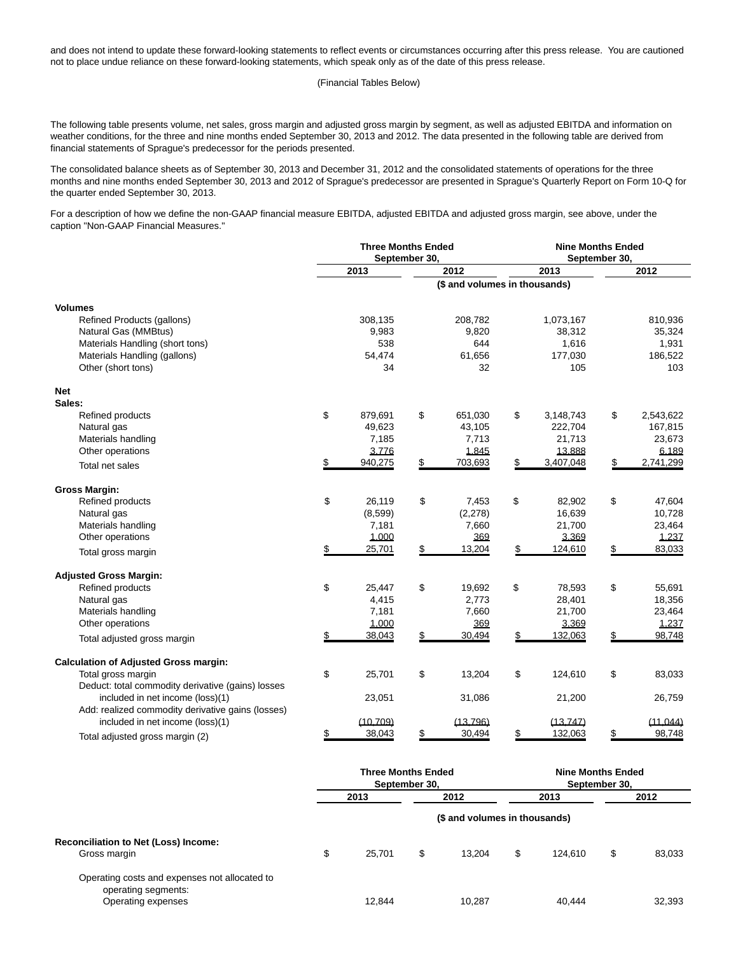and does not intend to update these forward-looking statements to reflect events or circumstances occurring after this press release. You are cautioned not to place undue reliance on these forward-looking statements, which speak only as of the date of this press release.

(Financial Tables Below)

The following table presents volume, net sales, gross margin and adjusted gross margin by segment, as well as adjusted EBITDA and information on weather conditions, for the three and nine months ended September 30, 2013 and 2012. The data presented in the following table are derived from financial statements of Sprague's predecessor for the periods presented.

The consolidated balance sheets as of September 30, 2013 and December 31, 2012 and the consolidated statements of operations for the three months and nine months ended September 30, 2013 and 2012 of Sprague's predecessor are presented in Sprague's Quarterly Report on Form 10-Q for the quarter ended September 30, 2013.

For a description of how we define the non-GAAP financial measure EBITDA, adjusted EBITDA and adjusted gross margin, see above, under the caption "Non-GAAP Financial Measures."

|                                                   | <b>Three Months Ended</b><br>September 30, |          |                               | <b>Nine Months Ended</b><br>September 30, |    |           |    |           |  |
|---------------------------------------------------|--------------------------------------------|----------|-------------------------------|-------------------------------------------|----|-----------|----|-----------|--|
|                                                   | 2013                                       |          | 2012                          |                                           |    | 2013      |    | 2012      |  |
|                                                   |                                            |          | (\$ and volumes in thousands) |                                           |    |           |    |           |  |
| <b>Volumes</b>                                    |                                            |          |                               |                                           |    |           |    |           |  |
| Refined Products (gallons)                        |                                            | 308,135  |                               | 208,782                                   |    | 1,073,167 |    | 810,936   |  |
| Natural Gas (MMBtus)                              |                                            | 9,983    |                               | 9,820                                     |    | 38,312    |    | 35,324    |  |
| Materials Handling (short tons)                   |                                            | 538      |                               | 644                                       |    | 1,616     |    | 1,931     |  |
| Materials Handling (gallons)                      |                                            | 54,474   |                               | 61,656                                    |    | 177,030   |    | 186,522   |  |
| Other (short tons)                                |                                            | 34       |                               | 32                                        |    | 105       |    | 103       |  |
| <b>Net</b>                                        |                                            |          |                               |                                           |    |           |    |           |  |
| Sales:                                            |                                            |          |                               |                                           |    |           |    |           |  |
| Refined products                                  | \$                                         | 879,691  | \$                            | 651,030                                   | \$ | 3,148,743 | \$ | 2,543,622 |  |
| Natural gas                                       |                                            | 49,623   |                               | 43,105                                    |    | 222,704   |    | 167,815   |  |
| Materials handling                                |                                            | 7,185    |                               | 7,713                                     |    | 21,713    |    | 23,673    |  |
| Other operations                                  |                                            | 3,776    |                               | 1.845                                     |    | 13.888    |    | 6.189     |  |
| Total net sales                                   |                                            | 940,275  | \$                            | 703,693                                   | \$ | 3,407,048 | \$ | 2,741,299 |  |
| <b>Gross Margin:</b>                              |                                            |          |                               |                                           |    |           |    |           |  |
| Refined products                                  | \$                                         | 26,119   | \$                            | 7,453                                     | \$ | 82,902    | \$ | 47,604    |  |
| Natural gas                                       |                                            | (8,599)  |                               | (2, 278)                                  |    | 16,639    |    | 10,728    |  |
| Materials handling                                |                                            | 7,181    |                               | 7,660                                     |    | 21,700    |    | 23,464    |  |
| Other operations                                  |                                            | 1.000    |                               | 369                                       |    | 3,369     |    | 1.237     |  |
| Total gross margin                                | \$                                         | 25,701   | \$                            | 13,204                                    | \$ | 124,610   | \$ | 83,033    |  |
| <b>Adjusted Gross Margin:</b>                     |                                            |          |                               |                                           |    |           |    |           |  |
| Refined products                                  | \$                                         | 25,447   | \$                            | 19,692                                    | \$ | 78,593    | \$ | 55,691    |  |
| Natural gas                                       |                                            | 4,415    |                               | 2,773                                     |    | 28,401    |    | 18,356    |  |
| Materials handling                                |                                            | 7,181    |                               | 7,660                                     |    | 21,700    |    | 23,464    |  |
| Other operations                                  |                                            | 1.000    |                               | 369                                       |    | 3.369     |    | 1.237     |  |
| Total adjusted gross margin                       | \$                                         | 38,043   | \$                            | 30,494                                    | \$ | 132,063   | \$ | 98,748    |  |
| <b>Calculation of Adjusted Gross margin:</b>      |                                            |          |                               |                                           |    |           |    |           |  |
| Total gross margin                                | \$                                         | 25,701   | \$                            | 13,204                                    | \$ | 124,610   | \$ | 83,033    |  |
| Deduct: total commodity derivative (gains) losses |                                            |          |                               |                                           |    |           |    |           |  |
| included in net income (loss)(1)                  |                                            | 23,051   |                               | 31,086                                    |    | 21,200    |    | 26,759    |  |
| Add: realized commodity derivative gains (losses) |                                            |          |                               |                                           |    |           |    |           |  |
| included in net income (loss)(1)                  |                                            | (10.709) |                               | (13.796)                                  |    | (13.747)  |    | (11.044)  |  |
| Total adjusted gross margin (2)                   | \$                                         | 38,043   |                               | 30,494                                    | \$ | 132,063   | \$ | 98,748    |  |

|                                                                                            | <b>Three Months Ended</b><br>September 30, |        |      |        | <b>Nine Months Ended</b><br>September 30, |         |      |        |  |
|--------------------------------------------------------------------------------------------|--------------------------------------------|--------|------|--------|-------------------------------------------|---------|------|--------|--|
|                                                                                            | 2013                                       |        | 2012 |        | 2013                                      |         | 2012 |        |  |
|                                                                                            | (\$ and volumes in thousands)              |        |      |        |                                           |         |      |        |  |
| Reconciliation to Net (Loss) Income:<br>Gross margin                                       | \$                                         | 25.701 | \$   | 13.204 | \$                                        | 124.610 | \$   | 83.033 |  |
| Operating costs and expenses not allocated to<br>operating segments:<br>Operating expenses |                                            | 12.844 |      | 10.287 |                                           | 40.444  |      | 32,393 |  |